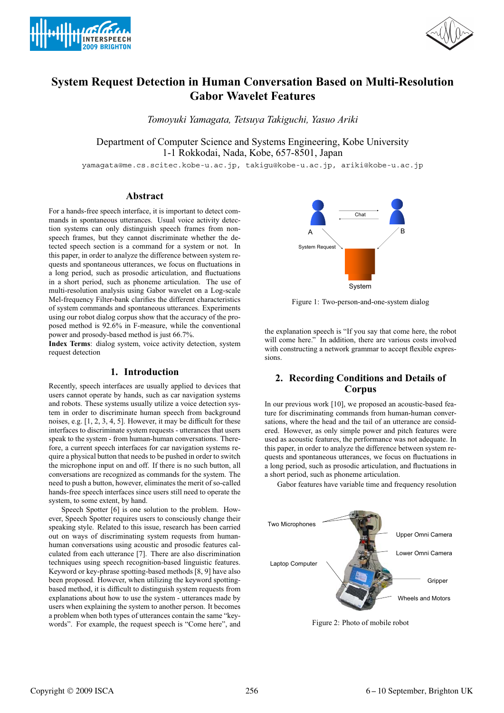



# **System Request Detection in Human Conversation Based on Multi-Resolution Gabor Wavelet Features**

*Tomoyuki Yamagata, Tetsuya Takiguchi, Yasuo Ariki*

Department of Computer Science and Systems Engineering, Kobe University 1-1 Rokkodai, Nada, Kobe, 657-8501, Japan

yamagata@me.cs.scitec.kobe-u.ac.jp, takigu@kobe-u.ac.jp, ariki@kobe-u.ac.jp

### **Abstract**

For a hands-free speech interface, it is important to detect commands in spontaneous utterances. Usual voice activity detection systems can only distinguish speech frames from nonspeech frames, but they cannot discriminate whether the detected speech section is a command for a system or not. In this paper, in order to analyze the difference between system requests and spontaneous utterances, we focus on fluctuations in a long period, such as prosodic articulation, and fluctuations in a short period, such as phoneme articulation. The use of multi-resolution analysis using Gabor wavelet on a Log-scale Mel-frequency Filter-bank clarifies the different characteristics of system commands and spontaneous utterances. Experiments using our robot dialog corpus show that the accuracy of the proposed method is 92.6% in F-measure, while the conventional power and prosody-based method is just 66.7%.

**Index Terms**: dialog system, voice activity detection, system request detection

#### **1. Introduction**

Recently, speech interfaces are usually applied to devices that users cannot operate by hands, such as car navigation systems and robots. These systems usually utilize a voice detection system in order to discriminate human speech from background noises, e.g. [1, 2, 3, 4, 5]. However, it may be difficult for these interfaces to discriminate system requests - utterances that users speak to the system - from human-human conversations. Therefore, a current speech interfaces for car navigation systems require a physical button that needs to be pushed in order to switch the microphone input on and off. If there is no such button, all conversations are recognized as commands for the system. The need to push a button, however, eliminates the merit of so-called hands-free speech interfaces since users still need to operate the system, to some extent, by hand.

Speech Spotter [6] is one solution to the problem. However, Speech Spotter requires users to consciously change their speaking style. Related to this issue, research has been carried out on ways of discriminating system requests from humanhuman conversations using acoustic and prosodic features calculated from each utterance [7]. There are also discrimination techniques using speech recognition-based linguistic features. Keyword or key-phrase spotting-based methods [8, 9] have also been proposed. However, when utilizing the keyword spottingbased method, it is difficult to distinguish system requests from explanations about how to use the system - utterances made by users when explaining the system to another person. It becomes a problem when both types of utterances contain the same "keywords". For example, the request speech is "Come here", and



Figure 1: Two-person-and-one-system dialog

the explanation speech is "If you say that come here, the robot will come here." In addition, there are various costs involved with constructing a network grammar to accept flexible expressions.

## **2. Recording Conditions and Details of Corpus**

In our previous work [10], we proposed an acoustic-based feature for discriminating commands from human-human conversations, where the head and the tail of an utterance are considered. However, as only simple power and pitch features were used as acoustic features, the performance was not adequate. In this paper, in order to analyze the difference between system requests and spontaneous utterances, we focus on fluctuations in a long period, such as prosodic articulation, and fluctuations in a short period, such as phoneme articulation.

Gabor features have variable time and frequency resolution



Figure 2: Photo of mobile robot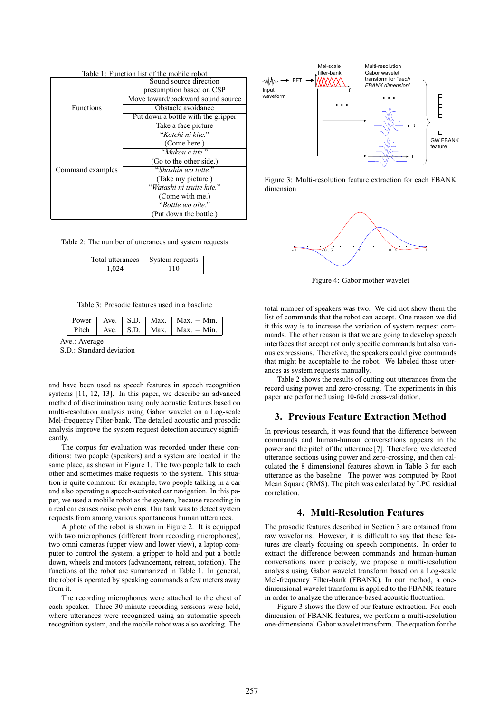| Table 1: Function list of the mobile robot |                                    |  |  |  |
|--------------------------------------------|------------------------------------|--|--|--|
|                                            | Sound source direction             |  |  |  |
|                                            | presumption based on CSP           |  |  |  |
|                                            | Move toward/backward sound source  |  |  |  |
| <b>Functions</b>                           | Obstacle avoidance                 |  |  |  |
|                                            | Put down a bottle with the gripper |  |  |  |
|                                            | Take a face picture                |  |  |  |
| Command examples                           | "Kotchi ni kite."                  |  |  |  |
|                                            | (Come here.)                       |  |  |  |
|                                            | "Mukou e itte"                     |  |  |  |
|                                            | (Go to the other side.)            |  |  |  |
|                                            | "Shashin wo totte."                |  |  |  |
|                                            | (Take my picture.)                 |  |  |  |
|                                            | "Watashi ni tsuite kite."          |  |  |  |
|                                            | (Come with me.)                    |  |  |  |
|                                            | "Bottle wo oite."                  |  |  |  |
|                                            | (Put down the bottle.)             |  |  |  |

Table 2: The number of utterances and system requests

| Total utterances | System requests |  |
|------------------|-----------------|--|
| 1.024            | -10             |  |

Table 3: Prosodic features used in a baseline

|  |  | Power $\parallel$ Ave. $\parallel$ S.D. $\parallel$ Max. $\parallel$ Max. $\sim$ Min. |
|--|--|---------------------------------------------------------------------------------------|
|  |  | Pitch Ave. S.D. Max. Max. $-Min$ .                                                    |
|  |  |                                                                                       |

Ave.: Average

S.D.: Standard deviation

and have been used as speech features in speech recognition systems [11, 12, 13]. In this paper, we describe an advanced method of discrimination using only acoustic features based on multi-resolution analysis using Gabor wavelet on a Log-scale Mel-frequency Filter-bank. The detailed acoustic and prosodic analysis improve the system request detection accuracy significantly.

The corpus for evaluation was recorded under these conditions: two people (speakers) and a system are located in the same place, as shown in Figure 1. The two people talk to each other and sometimes make requests to the system. This situation is quite common: for example, two people talking in a car and also operating a speech-activated car navigation. In this paper, we used a mobile robot as the system, because recording in a real car causes noise problems. Our task was to detect system requests from among various spontaneous human utterances.

A photo of the robot is shown in Figure 2. It is equipped with two microphones (different from recording microphones), two omni cameras (upper view and lower view), a laptop computer to control the system, a gripper to hold and put a bottle down, wheels and motors (advancement, retreat, rotation). The functions of the robot are summarized in Table 1. In general, the robot is operated by speaking commands a few meters away from it.

The recording microphones were attached to the chest of each speaker. Three 30-minute recording sessions were held, where utterances were recognized using an automatic speech recognition system, and the mobile robot was also working. The



Figure 3: Multi-resolution feature extraction for each FBANK dimension



Figure 4: Gabor mother wavelet

total number of speakers was two. We did not show them the list of commands that the robot can accept. One reason we did it this way is to increase the variation of system request commands. The other reason is that we are going to develop speech interfaces that accept not only specific commands but also various expressions. Therefore, the speakers could give commands that might be acceptable to the robot. We labeled those utterances as system requests manually.

Table 2 shows the results of cutting out utterances from the record using power and zero-crossing. The experiments in this paper are performed using 10-fold cross-validation.

#### **3. Previous Feature Extraction Method**

In previous research, it was found that the difference between commands and human-human conversations appears in the power and the pitch of the utterance [7]. Therefore, we detected utterance sections using power and zero-crossing, and then calculated the 8 dimensional features shown in Table 3 for each utterance as the baseline. The power was computed by Root Mean Square (RMS). The pitch was calculated by LPC residual correlation.

#### **4. Multi-Resolution Features**

The prosodic features described in Section 3 are obtained from raw waveforms. However, it is difficult to say that these features are clearly focusing on speech components. In order to extract the difference between commands and human-human conversations more precisely, we propose a multi-resolution analysis using Gabor wavelet transform based on a Log-scale Mel-frequency Filter-bank (FBANK). In our method, a onedimensional wavelet transform is applied to the FBANK feature in order to analyze the utterance-based acoustic fluctuation.

Figure 3 shows the flow of our feature extraction. For each dimension of FBANK features, we perform a multi-resolution one-dimensional Gabor wavelet transform. The equation for the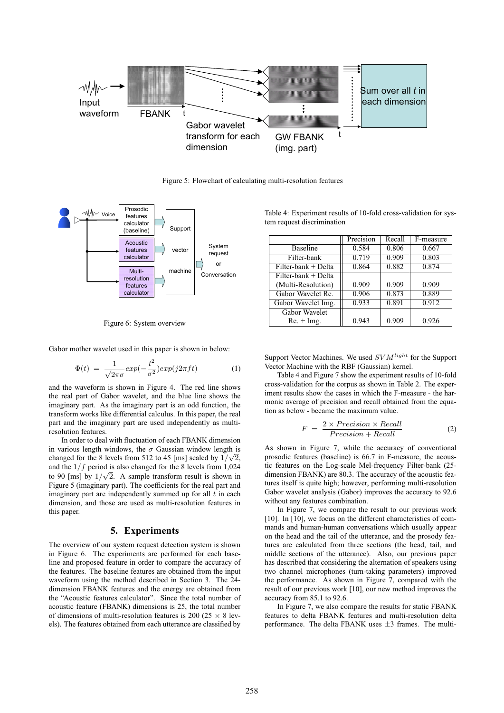

Figure 5: Flowchart of calculating multi-resolution features



Figure 6: System overview

Gabor mother wavelet used in this paper is shown in below:

$$
\Phi(t) = \frac{1}{\sqrt{2\pi}\sigma} exp(-\frac{t^2}{\sigma^2}) exp(j2\pi ft)
$$
 (1)

and the waveform is shown in Figure 4. The red line shows the real part of Gabor wavelet, and the blue line shows the imaginary part. As the imaginary part is an odd function, the transform works like differential calculus. In this paper, the real part and the imaginary part are used independently as multiresolution features.

In order to deal with fluctuation of each FBANK dimension in various length windows, the  $\sigma$  Gaussian window length is changed for the 8 levels from 512 to 45 [ms] scaled by  $1/\sqrt{2}$ , and the  $1/f$  period is also changed for the 8 levels from 1,024 to 90 [ms] by  $1/\sqrt{2}$ . A sample transform result is shown in Figure 5 (imaginary part). The coefficients for the real part and imaginary part are independently summed up for all  $t$  in each dimension, and those are used as multi-resolution features in this paper.

#### **5. Experiments**

The overview of our system request detection system is shown in Figure 6. The experiments are performed for each baseline and proposed feature in order to compare the accuracy of the features. The baseline features are obtained from the input waveform using the method described in Section 3. The 24 dimension FBANK features and the energy are obtained from the "Acoustic features calculator". Since the total number of acoustic feature (FBANK) dimensions is 25, the total number of dimensions of multi-resolution features is 200 (25  $\times$  8 levels). The features obtained from each utterance are classified by

Table 4: Experiment results of 10-fold cross-validation for system request discrimination

|                       | Precision | Recall | F-measure |
|-----------------------|-----------|--------|-----------|
| <b>Baseline</b>       | 0.584     | 0.806  | 0.667     |
| Filter-bank           | 0.719     | 0.909  | 0.803     |
| Filter-bank + Delta   | 0.864     | 0.882  | 0.874     |
| $Filter-bank + Delta$ |           |        |           |
| (Multi-Resolution)    | 0.909     | 0.909  | 0.909     |
| Gabor Wavelet Re.     | 0.906     | 0.873  | 0.889     |
| Gabor Wavelet Img.    | 0.933     | 0.891  | 0.912     |
| Gabor Wavelet         |           |        |           |
| $Re. + Img.$          | 0.943     | 0.909  | 0.926     |

Support Vector Machines. We used SV M*light* for the Support Vector Machine with the RBF (Gaussian) kernel.

Table 4 and Figure 7 show the experiment results of 10-fold cross-validation for the corpus as shown in Table 2. The experiment results show the cases in which the F-measure - the harmonic average of precision and recall obtained from the equation as below - became the maximum value.

$$
F = \frac{2 \times Precision \times Recall}{Precision + Recall}
$$
 (2)

As shown in Figure 7, while the accuracy of conventional prosodic features (baseline) is 66.7 in F-measure, the acoustic features on the Log-scale Mel-frequency Filter-bank (25 dimension FBANK) are 80.3. The accuracy of the acoustic features itself is quite high; however, performing multi-resolution Gabor wavelet analysis (Gabor) improves the accuracy to 92.6 without any features combination.

In Figure 7, we compare the result to our previous work [10]. In [10], we focus on the different characteristics of commands and human-human conversations which usually appear on the head and the tail of the utterance, and the prosody features are calculated from three sections (the head, tail, and middle sections of the utterance). Also, our previous paper has described that considering the alternation of speakers using two channel microphones (turn-taking parameters) improved the performance. As shown in Figure 7, compared with the result of our previous work [10], our new method improves the accuracy from 85.1 to 92.6.

In Figure 7, we also compare the results for static FBANK features to delta FBANK features and multi-resolution delta performance. The delta FBANK uses  $\pm 3$  frames. The multi-